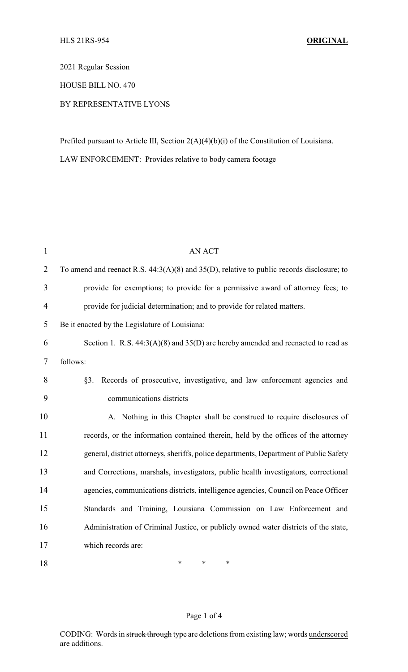2021 Regular Session

HOUSE BILL NO. 470

## BY REPRESENTATIVE LYONS

Prefiled pursuant to Article III, Section 2(A)(4)(b)(i) of the Constitution of Louisiana.

LAW ENFORCEMENT: Provides relative to body camera footage

| $\mathbf{1}$   | <b>AN ACT</b>                                                                                  |
|----------------|------------------------------------------------------------------------------------------------|
| $\overline{2}$ | To amend and reenact R.S. $44:3(A)(8)$ and $35(D)$ , relative to public records disclosure; to |
| 3              | provide for exemptions; to provide for a permissive award of attorney fees; to                 |
| $\overline{4}$ | provide for judicial determination; and to provide for related matters.                        |
| 5              | Be it enacted by the Legislature of Louisiana:                                                 |
| 6              | Section 1. R.S. $44:3(A)(8)$ and $35(D)$ are hereby amended and reenacted to read as           |
| 7              | follows:                                                                                       |
| 8              | Records of prosecutive, investigative, and law enforcement agencies and<br>§3.                 |
| 9              | communications districts                                                                       |
| 10             | A. Nothing in this Chapter shall be construed to require disclosures of                        |
| 11             | records, or the information contained therein, held by the offices of the attorney             |
| 12             | general, district attorneys, sheriffs, police departments, Department of Public Safety         |
| 13             | and Corrections, marshals, investigators, public health investigators, correctional            |
| 14             | agencies, communications districts, intelligence agencies, Council on Peace Officer            |
| 15             | Standards and Training, Louisiana Commission on Law Enforcement and                            |
| 16             | Administration of Criminal Justice, or publicly owned water districts of the state,            |
| 17             | which records are:                                                                             |
| 18             | $\ast$<br>$\ast$<br>$\ast$                                                                     |

## Page 1 of 4

CODING: Words in struck through type are deletions from existing law; words underscored are additions.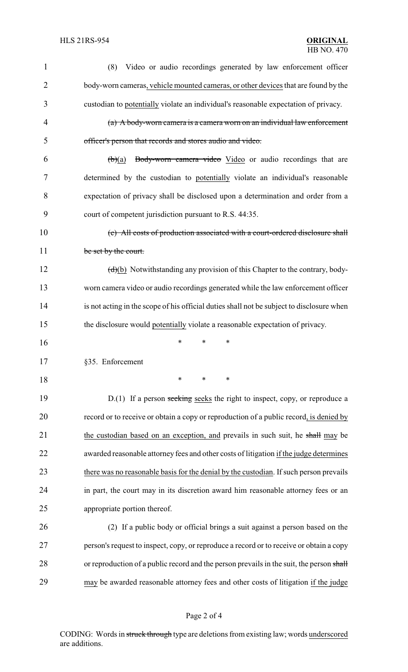| 1              | Video or audio recordings generated by law enforcement officer<br>(8)                           |
|----------------|-------------------------------------------------------------------------------------------------|
| $\overline{2}$ | body-worn cameras, vehicle mounted cameras, or other devices that are found by the              |
| 3              | custodian to potentially violate an individual's reasonable expectation of privacy.             |
| $\overline{4}$ | (a) A body-worn camera is a camera worn on an individual law enforcement                        |
| 5              | officer's person that records and stores audio and video.                                       |
| 6              | Body-worn camera video Video or audio recordings that are<br>$\biguplus(a)$                     |
| 7              | determined by the custodian to potentially violate an individual's reasonable                   |
| 8              | expectation of privacy shall be disclosed upon a determination and order from a                 |
| 9              | court of competent jurisdiction pursuant to R.S. 44:35.                                         |
| 10             | (c) All costs of production associated with a court-ordered disclosure shall                    |
| 11             | be set by the court.                                                                            |
| 12             | $\left(\frac{d}{b}\right)$ Notwithstanding any provision of this Chapter to the contrary, body- |
| 13             | worn camera video or audio recordings generated while the law enforcement officer               |
| 14             | is not acting in the scope of his official duties shall not be subject to disclosure when       |
| 15             | the disclosure would potentially violate a reasonable expectation of privacy.                   |
| 16             | *<br>*<br>∗                                                                                     |
| 17             | §35. Enforcement                                                                                |
| 18             | $\ast$<br>*<br>*                                                                                |
| 19             | $D(1)$ If a person seeking seeks the right to inspect, copy, or reproduce a                     |
| 20             | record or to receive or obtain a copy or reproduction of a public record, is denied by          |
| 21             | the custodian based on an exception, and prevails in such suit, he shall may be                 |
| 22             | awarded reasonable attorney fees and other costs of litigation if the judge determines          |
| 23             | there was no reasonable basis for the denial by the custodian. If such person prevails          |
| 24             | in part, the court may in its discretion award him reasonable attorney fees or an               |
| 25             | appropriate portion thereof.                                                                    |
| 26             | (2) If a public body or official brings a suit against a person based on the                    |
| 27             | person's request to inspect, copy, or reproduce a record or to receive or obtain a copy         |
| 28             | or reproduction of a public record and the person prevails in the suit, the person shall        |
| 29             | may be awarded reasonable attorney fees and other costs of litigation if the judge              |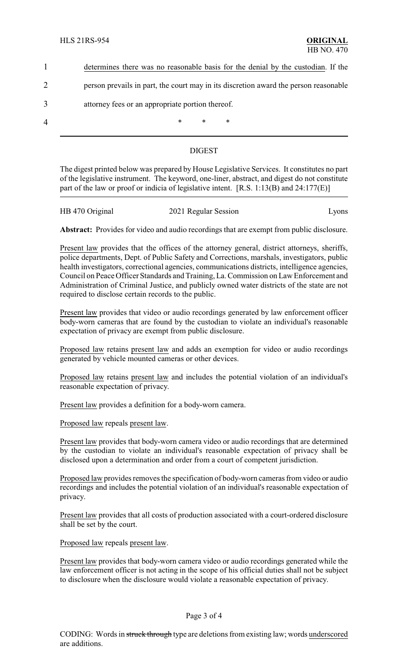|                | determines there was no reasonable basis for the denial by the custodian. If the     |  |  |  |
|----------------|--------------------------------------------------------------------------------------|--|--|--|
|                | person prevails in part, the court may in its discretion award the person reasonable |  |  |  |
| 3              | attorney fees or an appropriate portion thereof.                                     |  |  |  |
| $\overline{4}$ | ∗<br>$\ast$<br>∗                                                                     |  |  |  |

## DIGEST

The digest printed below was prepared by House Legislative Services. It constitutes no part of the legislative instrument. The keyword, one-liner, abstract, and digest do not constitute part of the law or proof or indicia of legislative intent. [R.S. 1:13(B) and 24:177(E)]

| HB 470 Original |                      |       |
|-----------------|----------------------|-------|
|                 | 2021 Regular Session | Lyons |

**Abstract:** Provides for video and audio recordings that are exempt from public disclosure.

Present law provides that the offices of the attorney general, district attorneys, sheriffs, police departments, Dept. of Public Safety and Corrections, marshals, investigators, public health investigators, correctional agencies, communications districts, intelligence agencies, Council on Peace Officer Standards and Training, La. Commission on Law Enforcement and Administration of Criminal Justice, and publicly owned water districts of the state are not required to disclose certain records to the public.

Present law provides that video or audio recordings generated by law enforcement officer body-worn cameras that are found by the custodian to violate an individual's reasonable expectation of privacy are exempt from public disclosure.

Proposed law retains present law and adds an exemption for video or audio recordings generated by vehicle mounted cameras or other devices.

Proposed law retains present law and includes the potential violation of an individual's reasonable expectation of privacy.

Present law provides a definition for a body-worn camera.

Proposed law repeals present law.

Present law provides that body-worn camera video or audio recordings that are determined by the custodian to violate an individual's reasonable expectation of privacy shall be disclosed upon a determination and order from a court of competent jurisdiction.

Proposed law provides removes the specification of body-worn cameras from video or audio recordings and includes the potential violation of an individual's reasonable expectation of privacy.

Present law provides that all costs of production associated with a court-ordered disclosure shall be set by the court.

Proposed law repeals present law.

Present law provides that body-worn camera video or audio recordings generated while the law enforcement officer is not acting in the scope of his official duties shall not be subject to disclosure when the disclosure would violate a reasonable expectation of privacy.

## Page 3 of 4